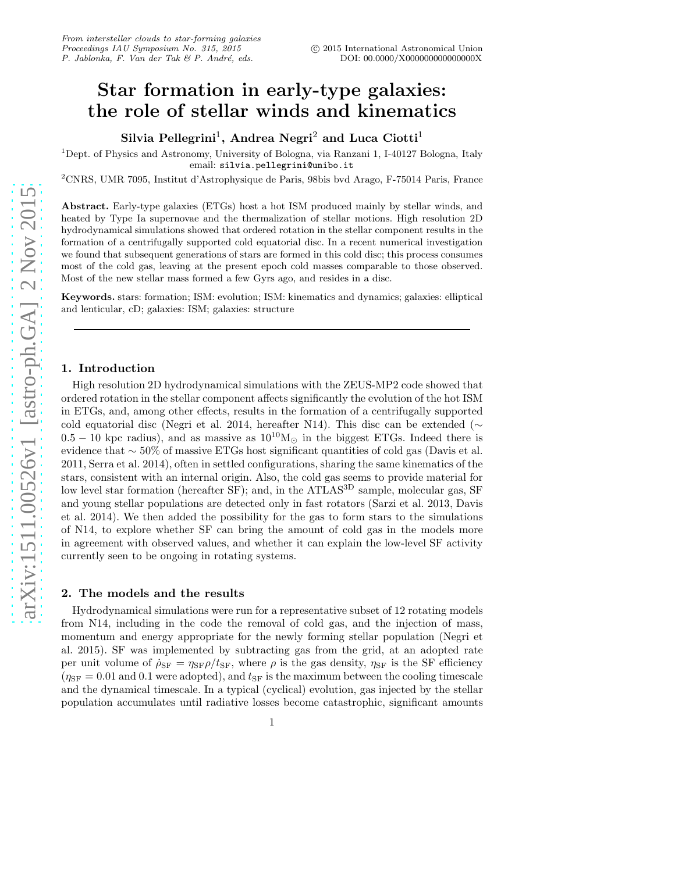## Star formation in early-type galaxies: the role of stellar winds and kinematics

Silvia Pellegrini<sup>1</sup>, Andrea Negri<sup>2</sup> and Luca Ciotti<sup>1</sup>

<sup>1</sup>Dept. of Physics and Astronomy, University of Bologna, via Ranzani 1, I-40127 Bologna, Italy email: silvia.pellegrini@unibo.it

<sup>2</sup>CNRS, UMR 7095, Institut d'Astrophysique de Paris, 98bis bvd Arago, F-75014 Paris, France

Abstract. Early-type galaxies (ETGs) host a hot ISM produced mainly by stellar winds, and heated by Type Ia supernovae and the thermalization of stellar motions. High resolution 2D hydrodynamical simulations showed that ordered rotation in the stellar component results in the formation of a centrifugally supported cold equatorial disc. In a recent numerical investigation we found that subsequent generations of stars are formed in this cold disc; this process consumes most of the cold gas, leaving at the present epoch cold masses comparable to those observed. Most of the new stellar mass formed a few Gyrs ago, and resides in a disc.

Keywords. stars: formation; ISM: evolution; ISM: kinematics and dynamics; galaxies: elliptical and lenticular, cD; galaxies: ISM; galaxies: structure

## 1. Introduction

High resolution 2D hydrodynamical simulations with the ZEUS-MP2 code showed that ordered rotation in the stellar component affects significantly the evolution of the hot ISM in ETGs, and, among other effects, results in the formation of a centrifugally supported cold equatorial disc (Negri et al. 2014, hereafter N14). This disc can be extended ( $\sim$  $0.5 - 10$  kpc radius), and as massive as  $10^{10}M_{\odot}$  in the biggest ETGs. Indeed there is evidence that ∼ 50% of massive ETGs host significant quantities of cold gas (Davis et al. 2011, Serra et al. 2014), often in settled configurations, sharing the same kinematics of the stars, consistent with an internal origin. Also, the cold gas seems to provide material for low level star formation (hereafter SF); and, in the ATLAS<sup>3D</sup> sample, molecular gas, SF and young stellar populations are detected only in fast rotators (Sarzi et al. 2013, Davis et al. 2014). We then added the possibility for the gas to form stars to the simulations of N14, to explore whether SF can bring the amount of cold gas in the models more in agreement with observed values, and whether it can explain the low-level SF activity currently seen to be ongoing in rotating systems.

## 2. The models and the results

Hydrodynamical simulations were run for a representative subset of 12 rotating models from N14, including in the code the removal of cold gas, and the injection of mass, momentum and energy appropriate for the newly forming stellar population (Negri et al. 2015). SF was implemented by subtracting gas from the grid, at an adopted rate per unit volume of  $\rho_{SF} = \eta_{SF}/t_{SF}$ , where  $\rho$  is the gas density,  $\eta_{SF}$  is the SF efficiency  $(\eta_{\rm SF} = 0.01$  and 0.1 were adopted), and  $t_{\rm SF}$  is the maximum between the cooling timescale and the dynamical timescale. In a typical (cyclical) evolution, gas injected by the stellar population accumulates until radiative losses become catastrophic, significant amounts